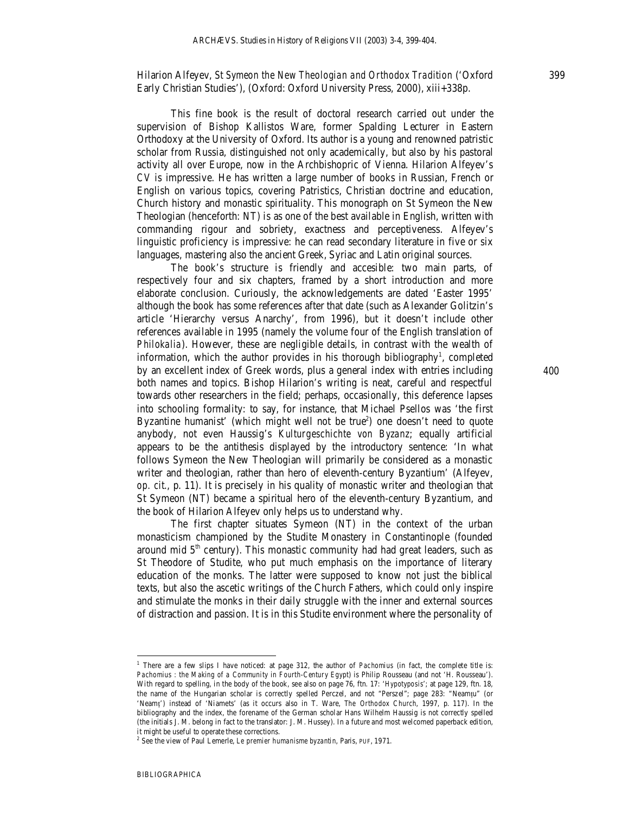Hilarion Alfeyev, *St Symeon the New Theologian and Orthodox Tradition* ('Oxford Early Christian Studies'), (Oxford: Oxford University Press, 2000), xiii+338p.

This fine book is the result of doctoral research carried out under the supervision of Bishop Kallistos Ware, former Spalding Lecturer in Eastern Orthodoxy at the University of Oxford. Its author is a young and renowned patristic scholar from Russia, distinguished not only academically, but also by his pastoral activity all over Europe, now in the Archbishopric of Vienna. Hilarion Alfeyev's *CV* is impressive. He has written a large number of books in Russian, French or English on various topics, covering Patristics, Christian doctrine and education, Church history and monastic spirituality. This monograph on St Symeon the New Theologian (henceforth: NT) is as one of the best available in English, written with commanding rigour and sobriety, exactness and perceptiveness. Alfeyev's linguistic proficiency is impressive: he can read secondary literature in five or six languages, mastering also the ancient Greek, Syriac and Latin original sources.

The book's structure is friendly and accesible: two main parts, of respectively four and six chapters, framed by a short introduction and more elaborate conclusion. Curiously, the acknowledgements are dated 'Easter 1995' although the book has some references after that date (such as Alexander Golitzin's article 'Hierarchy versus Anarchy', from 1996), but it doesn't include other references available in 1995 (namely the volume four of the English translation of *Philokalia*). However, these are negligible details, in contrast with the wealth of information, which the author provides in his thorough bibliography<sup>1</sup>, completed by an excellent index of Greek words, plus a general index with entries including both names and topics. Bishop Hilarion's writing is neat, careful and respectful towards other researchers in the field; perhaps, occasionally, this deference lapses into schooling formality: to say, for instance, that Michael Psellos was 'the first Byzantine humanist' (which might well not be true<sup>2</sup>) one doesn't need to quote anybody, not even Haussig's *Kulturgeschichte von Byzanz*; equally artificial appears to be the antithesis displayed by the introductory sentence: 'In what follows Symeon the New Theologian will primarily be considered as a monastic writer and theologian, rather than hero of eleventh-century Byzantium' (Alfeyev, *op. cit.*, p. 11). It is precisely in his quality of monastic writer and theologian that St Symeon (NT) became a spiritual hero of the eleventh-century Byzantium, and the book of Hilarion Alfeyev only helps us to understand why.

The first chapter situates Symeon (NT) in the context of the urban monasticism championed by the Studite Monastery in Constantinople (founded around mid  $5<sup>th</sup>$  century). This monastic community had had great leaders, such as St Theodore of Studite, who put much emphasis on the importance of literary education of the monks. The latter were supposed to know not just the biblical texts, but also the ascetic writings of the Church Fathers, which could only inspire and stimulate the monks in their daily struggle with the inner and external sources of distraction and passion. It is in this Studite environment where the personality of

-

400

<sup>1</sup> There are a few slips I have noticed: at page 312, the author of *Pachomius* (in fact, the complete title is: *Pachomius : the Making of a Community in Fourth-Century Egypt*) is Philip Rousseau (and not 'H. Rousseau'). With regard to spelling, in the body of the book, see also on page 76, ftn. 17: '*Hypotyposis*'; at page 129, ftn. 18, the name of the Hungarian scholar is correctly spelled Perczel, and not "Perszel"; page 283: "Neamţu" (or 'Neamţ') instead of 'Niamets' (as it occurs also in T. Ware, *The Orthodox Church*, 1997, p. 117). In the bibliography and the index, the forename of the German scholar Hans Wilhelm Haussig is not correctly spelled (the initials J. M. belong in fact to the translator: J. M. Hussey). In a future and most welcomed paperback edition, it might be useful to operate these corrections.

<sup>2</sup> See the view of Paul Lemerle, *Le premier humanisme byzantin*, Paris, PUF, 1971.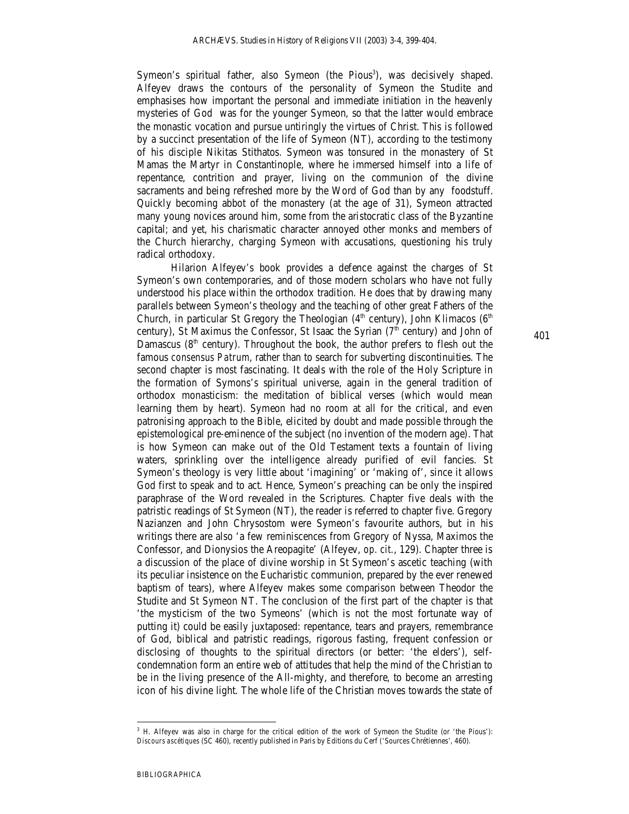Symeon's spiritual father, also Symeon (the Pious<sup>3</sup>), was decisively shaped. Alfeyev draws the contours of the personality of Symeon the Studite and emphasises how important the personal and immediate initiation in the heavenly mysteries of God was for the younger Symeon, so that the latter would embrace the monastic vocation and pursue untiringly the virtues of Christ. This is followed by a succinct presentation of the life of Symeon (NT), according to the testimony of his disciple Nikitas Stithatos. Symeon was tonsured in the monastery of St Mamas the Martyr in Constantinople, where he immersed himself into a life of repentance, contrition and prayer, living on the communion of the divine sacraments and being refreshed more by the Word of God than by any foodstuff. Quickly becoming abbot of the monastery (at the age of 31), Symeon attracted many young novices around him, some from the aristocratic class of the Byzantine capital; and yet, his charismatic character annoyed other monks and members of the Church hierarchy, charging Symeon with accusations, questioning his truly radical orthodoxy.

Hilarion Alfeyev's book provides a defence against the charges of St Symeon's own contemporaries, and of those modern scholars who have not fully understood his place within the orthodox tradition. He does that by drawing many parallels between Symeon's theology and the teaching of other great Fathers of the Church, in particular St Gregory the Theologian  $(4<sup>th</sup>$  century), John Klimacos  $(6<sup>th</sup>$ century), St Maximus the Confessor, St Isaac the Syrian ( $7<sup>th</sup>$  century) and John of Damascus ( $8<sup>th</sup>$  century). Throughout the book, the author prefers to flesh out the famous *consensus Patrum*, rather than to search for subverting discontinuities. The second chapter is most fascinating. It deals with the role of the Holy Scripture in the formation of Symons's spiritual universe, again in the general tradition of orthodox monasticism: the meditation of biblical verses (which would mean learning them by heart). Symeon had no room at all for the critical, and even patronising approach to the Bible, elicited by doubt and made possible through the epistemological pre-eminence of the subject (no invention of the modern age). That is how Symeon can make out of the Old Testament texts a fountain of living waters, sprinkling over the intelligence already purified of evil fancies. St Symeon's theology is very little about 'imagining' or 'making of', since it allows God first to speak and to act. Hence, Symeon's preaching can be only the inspired paraphrase of the Word revealed in the Scriptures. Chapter five deals with the patristic readings of St Symeon (NT), the reader is referred to chapter five. Gregory Nazianzen and John Chrysostom were Symeon's favourite authors, but in his writings there are also 'a few reminiscences from Gregory of Nyssa, Maximos the Confessor, and Dionysios the Areopagite' (Alfeyev, *op. cit.*, 129). Chapter three is a discussion of the place of divine worship in St Symeon's ascetic teaching (with its peculiar insistence on the Eucharistic communion, prepared by the ever renewed baptism of tears), where Alfeyev makes some comparison between Theodor the Studite and St Symeon NT. The conclusion of the first part of the chapter is that 'the mysticism of the two Symeons' (which is not the most fortunate way of putting it) could be easily juxtaposed: repentance, tears and prayers, remembrance of God, biblical and patristic readings, rigorous fasting, frequent confession or disclosing of thoughts to the spiritual directors (or better: 'the elders'), selfcondemnation form an entire web of attitudes that help the mind of the Christian to be in the living presence of the All-mighty, and therefore, to become an arresting icon of his divine light. The whole life of the Christian moves towards the state of

401

-

<sup>&</sup>lt;sup>3</sup> H. Alfeyev was also in charge for the critical edition of the work of Symeon the Studite (or 'the Pious'): *Discours ascétiques* (SC 460), recently published in Paris by Editions du Cerf ('Sources Chrétiennes', 460).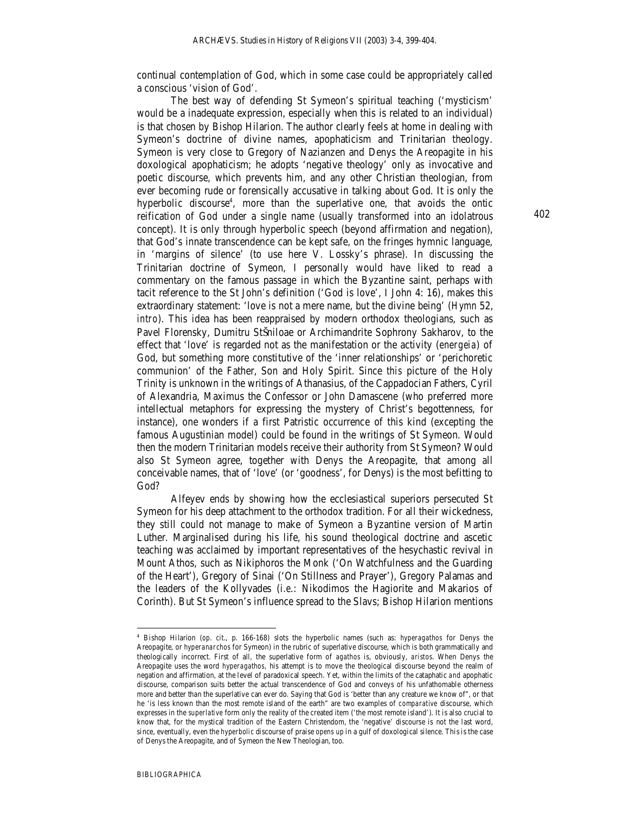continual contemplation of God, which in some case could be appropriately called a conscious 'vision of God'.

The best way of defending St Symeon's spiritual teaching ('mysticism' would be a inadequate expression, especially when this is related to an individual) is that chosen by Bishop Hilarion. The author clearly feels at home in dealing with Symeon's doctrine of divine names, apophaticism and Trinitarian theology. Symeon is very close to Gregory of Nazianzen and Denys the Areopagite in his doxological apophaticism; he adopts 'negative theology' only as invocative and poetic discourse, which prevents him, and any other Christian theologian, from ever becoming rude or forensically accusative in talking about God. It is only the hyperbolic discourse<sup>4</sup>, more than the superlative one, that avoids the ontic reification of God under a single name (usually transformed into an idolatrous concept). It is only through hyperbolic speech (beyond affirmation and negation), that God's innate transcendence can be kept safe, on the fringes hymnic language, in 'margins of silence' (to use here V. Lossky's phrase). In discussing the Trinitarian doctrine of Symeon, I personally would have liked to read a commentary on the famous passage in which the Byzantine saint, perhaps with tacit reference to the St John's definition ('God is love', I John 4: 16), makes this extraordinary statement: 'love is not a mere name, but the divine being' (*Hymn* 52, *intro*). This idea has been reappraised by modern orthodox theologians, such as Pavel Florensky, Dumitru StŠniloae or Archimandrite Sophrony Sakharov, to the effect that 'love' is regarded not as the manifestation or the activity (*energeia*) of God, but something more constitutive of the 'inner relationships' or 'perichoretic communion' of the Father, Son and Holy Spirit. Since *this* picture of the Holy Trinity is unknown in the writings of Athanasius, of the Cappadocian Fathers, Cyril of Alexandria, Maximus the Confessor or John Damascene (who preferred more intellectual metaphors for expressing the mystery of Christ's begottenness, for instance), one wonders if a first Patristic occurrence of this kind (excepting the famous Augustinian model) could be found in the writings of St Symeon. Would then the modern Trinitarian models receive their authority from St Symeon? Would also St Symeon agree, together with Denys the Areopagite, that among all conceivable names, that of 'love' (or 'goodness', for Denys) is the most befitting to God?

Alfeyev ends by showing how the ecclesiastical superiors persecuted St Symeon for his deep attachment to the orthodox tradition. For all their wickedness, they still could not manage to make of Symeon a Byzantine version of Martin Luther. Marginalised during his life, his sound theological doctrine and ascetic teaching was acclaimed by important representatives of the hesychastic revival in Mount Athos, such as Nikiphoros the Monk ('On Watchfulness and the Guarding of the Heart'), Gregory of Sinai ('On Stillness and Prayer'), Gregory Palamas and the leaders of the Kollyvades (*i.e*.: Nikodimos the Hagiorite and Makarios of Corinth). But St Symeon's influence spread to the Slavs; Bishop Hilarion mentions

402

-

<sup>4</sup> Bishop Hilarion (*op*. *cit*., p. 166-168) slots the hyperbolic names (such as: *hyperagathos* for Denys the Areopagite, or *hyperanarchos* for Symeon) in the rubric of superlative discourse, which is both grammatically and theologically incorrect. First of all, the superlative form of *agathos* is, obviously, *aristos*. When Denys the Areopagite uses the word *hyperagathos,* his attempt is to move the theological discourse beyond the realm of negation and affirmation, at the level of paradoxical speech. Yet, within the limits of the cataphatic *and* apophatic discourse, comparison suits better the actual transcendence of God and conveys of his unfathomable otherness more and better than the superlative can ever do. Saying that God is 'better than any creature we know of", or that he 'is less known than the most remote island of the earth" are two examples of *comparative* discourse, which expresses in the *superlative* form only the reality of the created item ('the most remote island'). It is also crucial to know that, for the mystical tradition of the Eastern Christendom, the 'negative' discourse is not the last word, since, eventually, even the *hyperbolic* discourse of praise *opens up* in a gulf of doxological silence. Thisis the case of Denys the Areopagite, and of Symeon the New Theologian, too.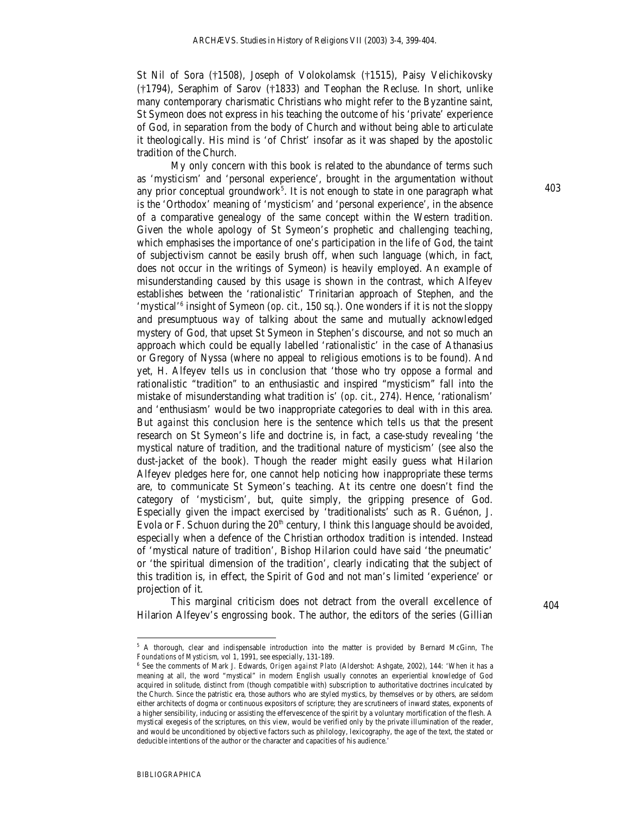St Nil of Sora (†1508), Joseph of Volokolamsk (†1515), Paisy Velichikovsky (†1794), Seraphim of Sarov (†1833) and Teophan the Recluse. In short, unlike many contemporary charismatic Christians who might refer to the Byzantine saint, St Symeon does not express in his teaching the outcome of his 'private' experience of God, in separation from the body of Church and without being able to articulate it theologically. His mind is 'of Christ' insofar as it was shaped by the apostolic tradition of the Church.

My only concern with this book is related to the abundance of terms such as 'mysticism' and 'personal experience', brought in the argumentation without any prior conceptual groundwork<sup>5</sup>. It is not enough to state in one paragraph what is the 'Orthodox' meaning of 'mysticism' and 'personal experience', in the absence of a comparative genealogy of the same concept within the Western tradition. Given the whole apology of St Symeon's prophetic and challenging teaching, which emphasises the importance of one's participation in the life of God, the taint of subjectivism cannot be easily brush off, when such language (which, in fact, does not occur in the writings of Symeon) is heavily employed. An example of misunderstanding caused by this usage is shown in the contrast, which Alfeyev establishes between the 'rationalistic' Trinitarian approach of Stephen, and the 'mystical<sup>'6</sup> insight of Symeon (op. cit., 150 sq.). One wonders if it is not the sloppy and presumptuous *way* of talking about the same and mutually acknowledged mystery of God, that upset St Symeon in Stephen's discourse, and not so much an approach which could be equally labelled 'rationalistic' in the case of Athanasius or Gregory of Nyssa (where no appeal to religious emotions is to be found). And yet, H. Alfeyev tells us in conclusion that 'those who try oppose a formal and rationalistic "tradition" to an enthusiastic and inspired "mysticism" fall into the mistake of misunderstanding what tradition is' (*op. cit.*, 274). Hence, 'rationalism' and 'enthusiasm' would be two inappropriate categories to deal with in this area. But *against* this conclusion here is the sentence which tells us that the present research on St Symeon's life and doctrine is, in fact, a case-study revealing 'the mystical nature of tradition, and the traditional nature of mysticism' (see also the dust-jacket of the book). Though the reader might easily guess what Hilarion Alfeyev pledges here for, one cannot help noticing how inappropriate these terms are, to communicate St Symeon's teaching. At its centre one doesn't find the category of 'mysticism', but, quite simply, the gripping presence of God. Especially given the impact exercised by 'traditionalists' such as R. Guénon, J. Evola or F. Schuon during the  $20<sup>th</sup>$  century, I think this language should be avoided, especially when a defence of the Christian orthodox tradition is intended. Instead of 'mystical nature of tradition', Bishop Hilarion could have said 'the pneumatic' or 'the spiritual dimension of the tradition', clearly indicating that the subject of this tradition is, in effect, the Spirit of God and not man's limited 'experience' or projection of it.

This marginal criticism does not detract from the overall excellence of Hilarion Alfeyev's engrossing book. The author, the editors of the series (Gillian

-

 <sup>404</sup>

<sup>5</sup> A thorough, clear and indispensable introduction into the matter is provided by Bernard McGinn, *The Foundations of Mysticism,* vol 1, 1991, see especially, 131-189.

<sup>6</sup> See the comments of Mark J. Edwards, *Origen against Plato* (Aldershot: Ashgate, 2002), 144: 'When it has a meaning at all, the word "mystical" in modern English usually connotes an experiential knowledge of God acquired in solitude, distinct from (though compatible with) subscription to authoritative doctrines inculcated by the Church. Since the patristic era, those authors who are styled mystics, by themselves or by others, are seldom either architects of dogma or continuous expositors of scripture; they are scrutineers of inward states, exponents of a higher sensibility, inducing or assisting the effervescence of the spirit by a voluntary mortification of the flesh. A mystical exegesis of the scriptures, on this view, would be verified only by the private illumination of the reader, and would be unconditioned by objective factors such as philology, lexicography, the age of the text, the stated or deducible intentions of the author or the character and capacities of his audience.